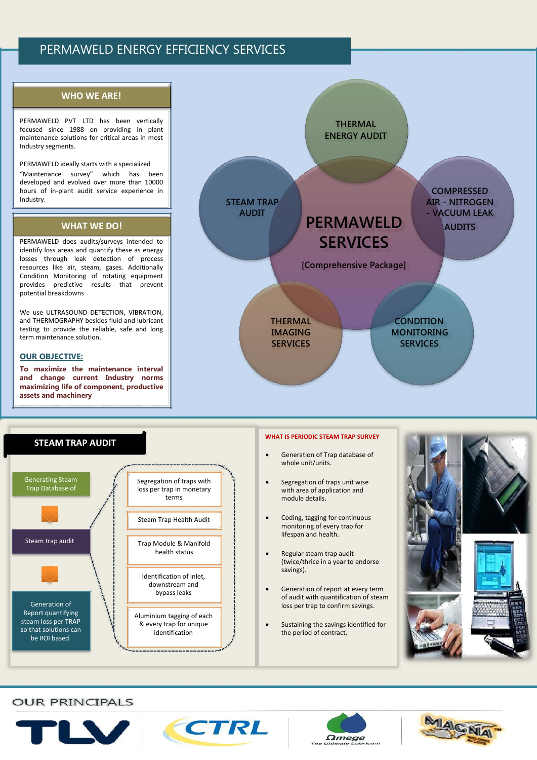# PERMAWELD ENERGY EFFICIENCY SERVICES

## **WHO WE ARE!**

PERMAWELD PVT LTD has been vertically focused since 1988 on providing in plant maintenance solutions for critical areas in most Industry segments.

PERMAWELD ideally starts with a specialized

"Maintenance survey" which has been developed and evolved over more than 10000 hours of in-plant audit service experience in Industry.

## **WHAT WE DO!**

PERMAWELD does audits/surveys intended to identify loss areas and quantify these as energy losses through leak detection of process resources like air, steam, gases. Additionally Condition Monitoring of rotating equipment provides predictive results that prevent potential breakdowns

We use ULTRASOUND DETECTION, VIBRATION, and THERMOGRAPHY besides fluid and lubricant testing to provide the reliable, safe and long term maintenance solution.

### **OUR OBJECTIVE:**

**To maximize the maintenance interval and change current Industry norms maximizing life of component, productive assets and machinery**





### **WHAT IS PERIODIC STEAM TRAP SURVEY**

- Generation of Trap database of whole unit/units.
- Segregation of traps unit wise with area of application and module details.
- Coding, tagging for continuous monitoring of every trap for lifespan and health.
- Regular steam trap audit (twice/thrice in a year to endorse savings).
- Generation of report at every term of audit with quantification of steam loss per trap to confirm savings.
- Sustaining the savings identified for the period of contract.



# **OUR PRINCIPALS**